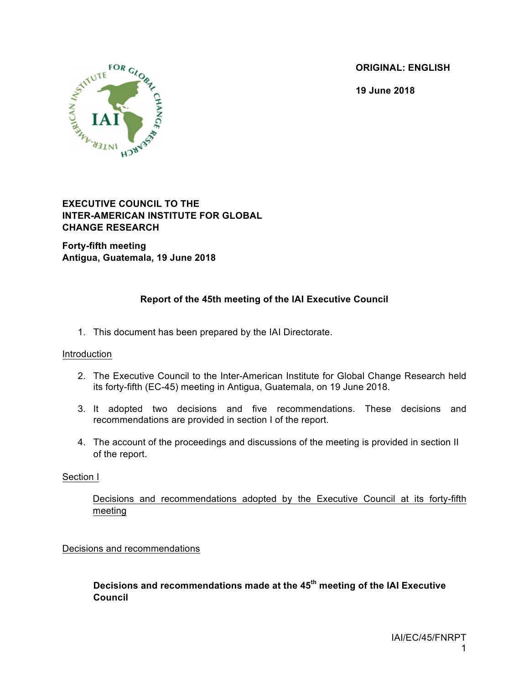**ORIGINAL: ENGLISH**

**19 June 2018**



### **EXECUTIVE COUNCIL TO THE INTER-AMERICAN INSTITUTE FOR GLOBAL CHANGE RESEARCH**

**Forty-fifth meeting Antigua, Guatemala, 19 June 2018**

# **Report of the 45th meeting of the IAI Executive Council**

1. This document has been prepared by the IAI Directorate.

#### Introduction

- 2. The Executive Council to the Inter-American Institute for Global Change Research held its forty-fifth (EC-45) meeting in Antigua, Guatemala, on 19 June 2018.
- 3. It adopted two decisions and five recommendations. These decisions and recommendations are provided in section I of the report.
- 4. The account of the proceedings and discussions of the meeting is provided in section II of the report.

#### Section I

Decisions and recommendations adopted by the Executive Council at its forty-fifth meeting

Decisions and recommendations

**Decisions and recommendations made at the 45th meeting of the IAI Executive Council**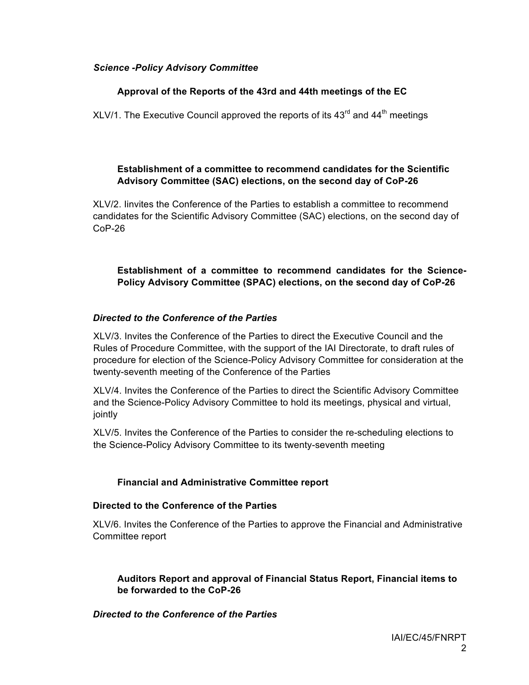### *Science -Policy Advisory Committee*

### **Approval of the Reports of the 43rd and 44th meetings of the EC**

XLV/1. The Executive Council approved the reports of its  $43<sup>rd</sup>$  and  $44<sup>th</sup>$  meetings

### **Establishment of a committee to recommend candidates for the Scientific Advisory Committee (SAC) elections, on the second day of CoP-26**

XLV/2. Iinvites the Conference of the Parties to establish a committee to recommend candidates for the Scientific Advisory Committee (SAC) elections, on the second day of CoP-26

### **Establishment of a committee to recommend candidates for the Science-Policy Advisory Committee (SPAC) elections, on the second day of CoP-26**

#### *Directed to the Conference of the Parties*

XLV/3. Invites the Conference of the Parties to direct the Executive Council and the Rules of Procedure Committee, with the support of the IAI Directorate, to draft rules of procedure for election of the Science-Policy Advisory Committee for consideration at the twenty-seventh meeting of the Conference of the Parties

XLV/4. Invites the Conference of the Parties to direct the Scientific Advisory Committee and the Science-Policy Advisory Committee to hold its meetings, physical and virtual, jointly

XLV/5. Invites the Conference of the Parties to consider the re-scheduling elections to the Science-Policy Advisory Committee to its twenty-seventh meeting

## **Financial and Administrative Committee report**

### **Directed to the Conference of the Parties**

XLV/6. Invites the Conference of the Parties to approve the Financial and Administrative Committee report

### **Auditors Report and approval of Financial Status Report, Financial items to be forwarded to the CoP-26**

#### *Directed to the Conference of the Parties*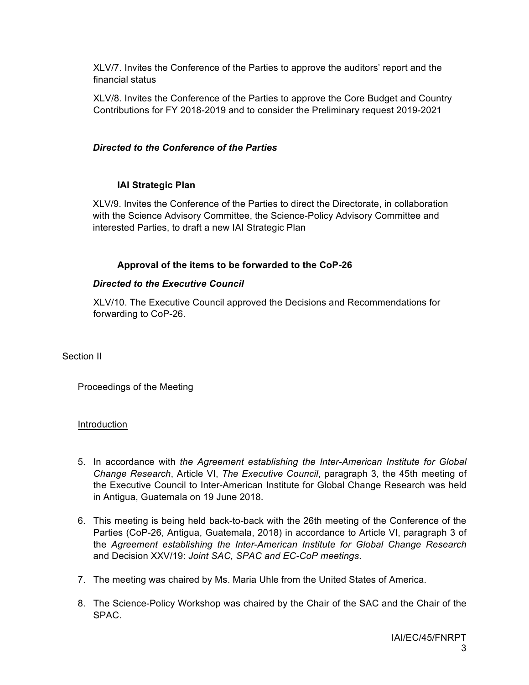XLV/7. Invites the Conference of the Parties to approve the auditors' report and the financial status

XLV/8. Invites the Conference of the Parties to approve the Core Budget and Country Contributions for FY 2018-2019 and to consider the Preliminary request 2019-2021

# *Directed to the Conference of the Parties*

# **IAI Strategic Plan**

XLV/9. Invites the Conference of the Parties to direct the Directorate, in collaboration with the Science Advisory Committee, the Science-Policy Advisory Committee and interested Parties, to draft a new IAI Strategic Plan

# **Approval of the items to be forwarded to the CoP-26**

## *Directed to the Executive Council*

XLV/10. The Executive Council approved the Decisions and Recommendations for forwarding to CoP-26.

## Section II

Proceedings of the Meeting

## Introduction

- 5. In accordance with *the Agreement establishing the Inter-American Institute for Global Change Research*, Article VI, *The Executive Council*, paragraph 3, the 45th meeting of the Executive Council to Inter-American Institute for Global Change Research was held in Antigua, Guatemala on 19 June 2018.
- 6. This meeting is being held back-to-back with the 26th meeting of the Conference of the Parties (CoP-26, Antigua, Guatemala, 2018) in accordance to Article VI, paragraph 3 of the *Agreement establishing the Inter-American Institute for Global Change Research* and Decision XXV/19: *Joint SAC, SPAC and EC-CoP meetings*.
- 7. The meeting was chaired by Ms. Maria Uhle from the United States of America.
- 8. The Science-Policy Workshop was chaired by the Chair of the SAC and the Chair of the SPAC.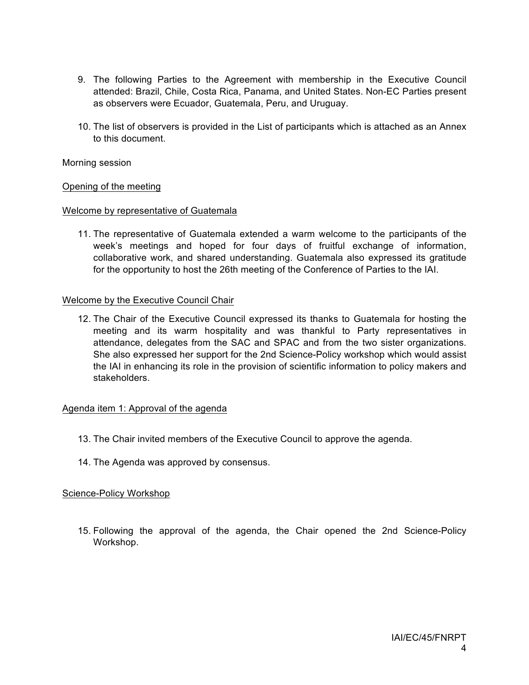- 9. The following Parties to the Agreement with membership in the Executive Council attended: Brazil, Chile, Costa Rica, Panama, and United States. Non-EC Parties present as observers were Ecuador, Guatemala, Peru, and Uruguay.
- 10. The list of observers is provided in the List of participants which is attached as an Annex to this document.

#### Morning session

#### Opening of the meeting

#### Welcome by representative of Guatemala

11. The representative of Guatemala extended a warm welcome to the participants of the week's meetings and hoped for four days of fruitful exchange of information, collaborative work, and shared understanding. Guatemala also expressed its gratitude for the opportunity to host the 26th meeting of the Conference of Parties to the IAI.

#### Welcome by the Executive Council Chair

12. The Chair of the Executive Council expressed its thanks to Guatemala for hosting the meeting and its warm hospitality and was thankful to Party representatives in attendance, delegates from the SAC and SPAC and from the two sister organizations. She also expressed her support for the 2nd Science-Policy workshop which would assist the IAI in enhancing its role in the provision of scientific information to policy makers and stakeholders.

#### Agenda item 1: Approval of the agenda

- 13. The Chair invited members of the Executive Council to approve the agenda.
- 14. The Agenda was approved by consensus.

#### Science-Policy Workshop

15. Following the approval of the agenda, the Chair opened the 2nd Science-Policy Workshop.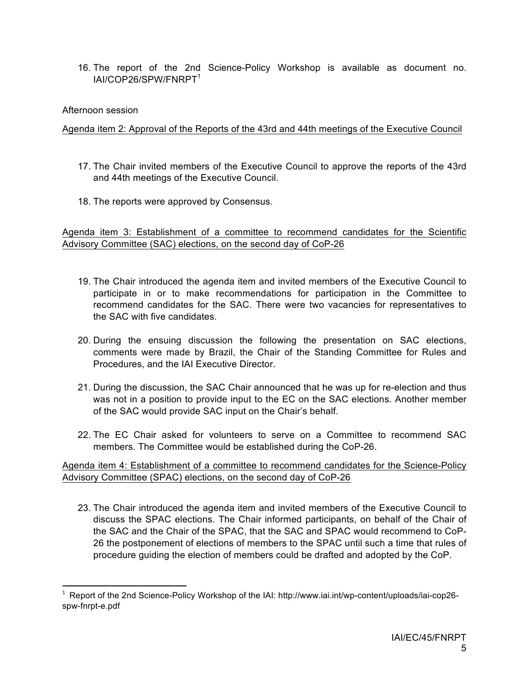16. The report of the 2nd Science-Policy Workshop is available as document no. IAI/COP26/SPW/FNRPT<sup>1</sup>

#### Afternoon session

<u> 1989 - Jan Samuel Barbara, político establecido de la provincia de la provincia de la provincia de la provinci</u>

#### Agenda item 2: Approval of the Reports of the 43rd and 44th meetings of the Executive Council

- 17. The Chair invited members of the Executive Council to approve the reports of the 43rd and 44th meetings of the Executive Council.
- 18. The reports were approved by Consensus.

Agenda item 3: Establishment of a committee to recommend candidates for the Scientific Advisory Committee (SAC) elections, on the second day of CoP-26

- 19. The Chair introduced the agenda item and invited members of the Executive Council to participate in or to make recommendations for participation in the Committee to recommend candidates for the SAC. There were two vacancies for representatives to the SAC with five candidates.
- 20. During the ensuing discussion the following the presentation on SAC elections, comments were made by Brazil, the Chair of the Standing Committee for Rules and Procedures, and the IAI Executive Director.
- 21. During the discussion, the SAC Chair announced that he was up for re-election and thus was not in a position to provide input to the EC on the SAC elections. Another member of the SAC would provide SAC input on the Chair's behalf.
- 22. The EC Chair asked for volunteers to serve on a Committee to recommend SAC members. The Committee would be established during the CoP-26.

Agenda item 4: Establishment of a committee to recommend candidates for the Science-Policy Advisory Committee (SPAC) elections, on the second day of CoP-26

23. The Chair introduced the agenda item and invited members of the Executive Council to discuss the SPAC elections. The Chair informed participants, on behalf of the Chair of the SAC and the Chair of the SPAC, that the SAC and SPAC would recommend to CoP-26 the postponement of elections of members to the SPAC until such a time that rules of procedure guiding the election of members could be drafted and adopted by the CoP.

 $1$  Report of the 2nd Science-Policy Workshop of the IAI: http://www.iai.int/wp-content/uploads/iai-cop26spw-fnrpt-e.pdf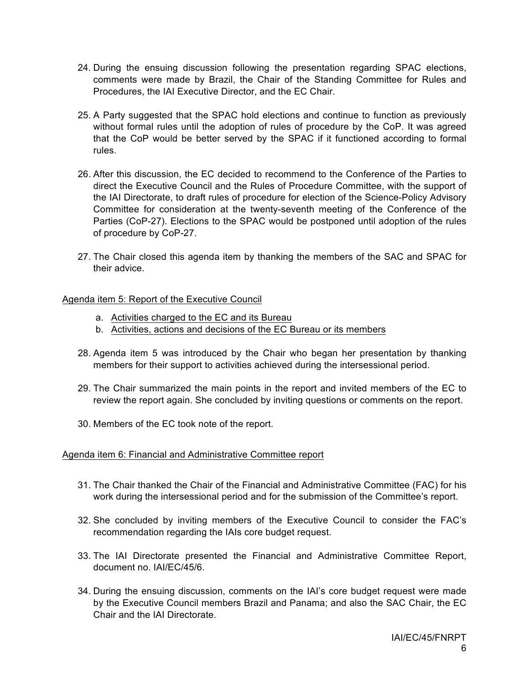- 24. During the ensuing discussion following the presentation regarding SPAC elections, comments were made by Brazil, the Chair of the Standing Committee for Rules and Procedures, the IAI Executive Director, and the EC Chair.
- 25. A Party suggested that the SPAC hold elections and continue to function as previously without formal rules until the adoption of rules of procedure by the CoP. It was agreed that the CoP would be better served by the SPAC if it functioned according to formal rules.
- 26. After this discussion, the EC decided to recommend to the Conference of the Parties to direct the Executive Council and the Rules of Procedure Committee, with the support of the IAI Directorate, to draft rules of procedure for election of the Science-Policy Advisory Committee for consideration at the twenty-seventh meeting of the Conference of the Parties (CoP-27). Elections to the SPAC would be postponed until adoption of the rules of procedure by CoP-27.
- 27. The Chair closed this agenda item by thanking the members of the SAC and SPAC for their advice.

#### Agenda item 5: Report of the Executive Council

- a. Activities charged to the EC and its Bureau
- b. Activities, actions and decisions of the EC Bureau or its members
- 28. Agenda item 5 was introduced by the Chair who began her presentation by thanking members for their support to activities achieved during the intersessional period.
- 29. The Chair summarized the main points in the report and invited members of the EC to review the report again. She concluded by inviting questions or comments on the report.
- 30. Members of the EC took note of the report.

#### Agenda item 6: Financial and Administrative Committee report

- 31. The Chair thanked the Chair of the Financial and Administrative Committee (FAC) for his work during the intersessional period and for the submission of the Committee's report.
- 32. She concluded by inviting members of the Executive Council to consider the FAC's recommendation regarding the IAIs core budget request.
- 33. The IAI Directorate presented the Financial and Administrative Committee Report, document no. IAI/EC/45/6.
- 34. During the ensuing discussion, comments on the IAI's core budget request were made by the Executive Council members Brazil and Panama; and also the SAC Chair, the EC Chair and the IAI Directorate.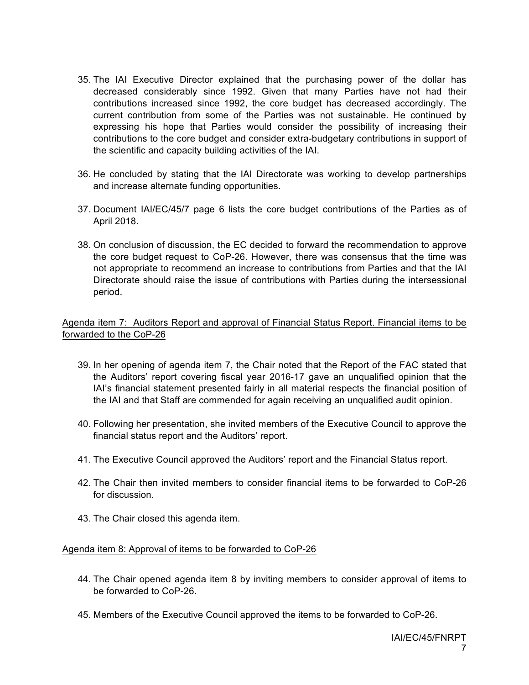- 35. The IAI Executive Director explained that the purchasing power of the dollar has decreased considerably since 1992. Given that many Parties have not had their contributions increased since 1992, the core budget has decreased accordingly. The current contribution from some of the Parties was not sustainable. He continued by expressing his hope that Parties would consider the possibility of increasing their contributions to the core budget and consider extra-budgetary contributions in support of the scientific and capacity building activities of the IAI.
- 36. He concluded by stating that the IAI Directorate was working to develop partnerships and increase alternate funding opportunities.
- 37. Document IAI/EC/45/7 page 6 lists the core budget contributions of the Parties as of April 2018.
- 38. On conclusion of discussion, the EC decided to forward the recommendation to approve the core budget request to CoP-26. However, there was consensus that the time was not appropriate to recommend an increase to contributions from Parties and that the IAI Directorate should raise the issue of contributions with Parties during the intersessional period.

### Agenda item 7: Auditors Report and approval of Financial Status Report. Financial items to be forwarded to the CoP-26

- 39. In her opening of agenda item 7, the Chair noted that the Report of the FAC stated that the Auditors' report covering fiscal year 2016-17 gave an unqualified opinion that the IAI's financial statement presented fairly in all material respects the financial position of the IAI and that Staff are commended for again receiving an unqualified audit opinion.
- 40. Following her presentation, she invited members of the Executive Council to approve the financial status report and the Auditors' report.
- 41. The Executive Council approved the Auditors' report and the Financial Status report.
- 42. The Chair then invited members to consider financial items to be forwarded to CoP-26 for discussion.
- 43. The Chair closed this agenda item.

#### Agenda item 8: Approval of items to be forwarded to CoP-26

- 44. The Chair opened agenda item 8 by inviting members to consider approval of items to be forwarded to CoP-26.
- 45. Members of the Executive Council approved the items to be forwarded to CoP-26.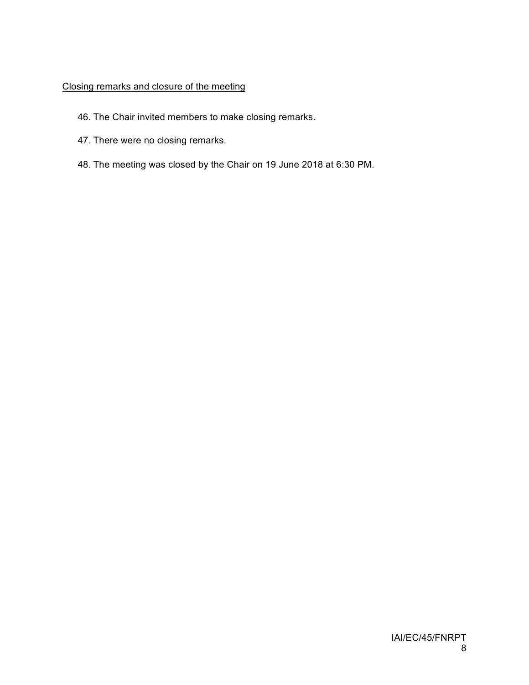# Closing remarks and closure of the meeting

- 46. The Chair invited members to make closing remarks.
- 47. There were no closing remarks.
- 48. The meeting was closed by the Chair on 19 June 2018 at 6:30 PM.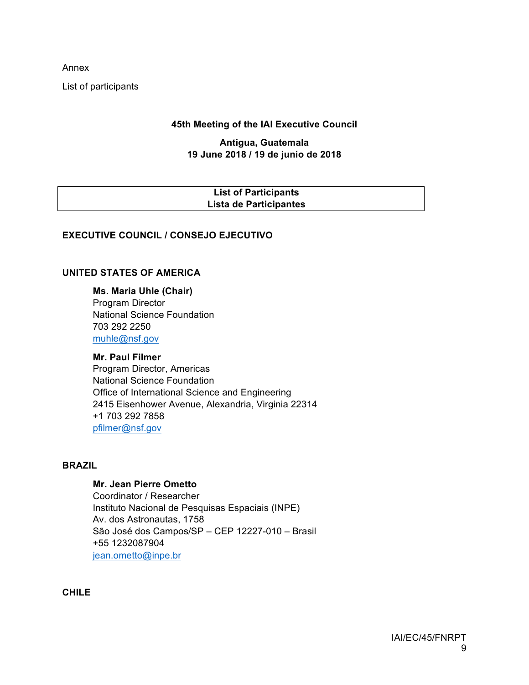Annex

List of participants

### **45th Meeting of the IAI Executive Council**

#### **Antigua, Guatemala 19 June 2018 / 19 de junio de 2018**

### **List of Participants Lista de Participantes**

## **EXECUTIVE COUNCIL / CONSEJO EJECUTIVO**

#### **UNITED STATES OF AMERICA**

**Ms. Maria Uhle (Chair)** Program Director National Science Foundation 703 292 2250 muhle@nsf.gov

**Mr. Paul Filmer** Program Director, Americas National Science Foundation Office of International Science and Engineering 2415 Eisenhower Avenue, Alexandria, Virginia 22314 +1 703 292 7858 pfilmer@nsf.gov

#### **BRAZIL**

### **Mr. Jean Pierre Ometto**

Coordinator / Researcher Instituto Nacional de Pesquisas Espaciais (INPE) Av. dos Astronautas, 1758 São José dos Campos/SP – CEP 12227-010 – Brasil +55 1232087904 jean.ometto@inpe.br

**CHILE**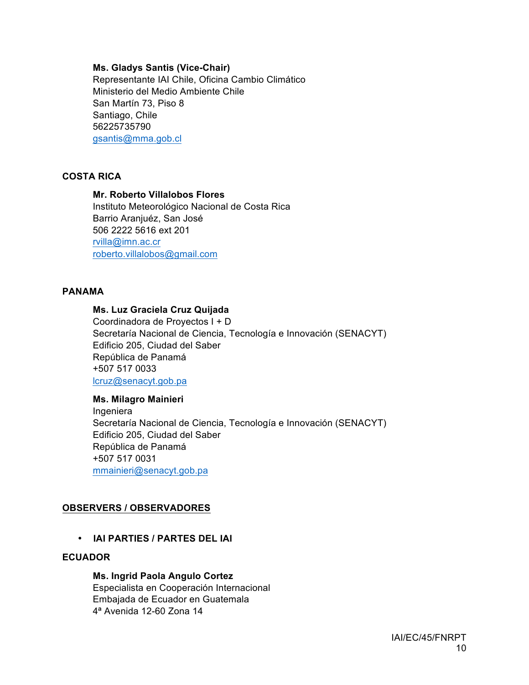#### **Ms. Gladys Santis (Vice-Chair)**

Representante IAI Chile, Oficina Cambio Climático Ministerio del Medio Ambiente Chile San Martín 73, Piso 8 Santiago, Chile 56225735790 gsantis@mma.gob.cl

### **COSTA RICA**

### **Mr. Roberto Villalobos Flores**

Instituto Meteorológico Nacional de Costa Rica Barrio Aranjuéz, San José 506 2222 5616 ext 201 rvilla@imn.ac.cr roberto.villalobos@gmail.com

#### **PANAMA**

#### **Ms. Luz Graciela Cruz Quijada**

Coordinadora de Proyectos I + D Secretaría Nacional de Ciencia, Tecnología e Innovación (SENACYT) Edificio 205, Ciudad del Saber República de Panamá +507 517 0033 lcruz@senacyt.gob.pa

# **Ms. Milagro Mainieri**

Ingeniera Secretaría Nacional de Ciencia, Tecnología e Innovación (SENACYT) Edificio 205, Ciudad del Saber República de Panamá +507 517 0031 mmainieri@senacyt.gob.pa

#### **OBSERVERS / OBSERVADORES**

• **IAI PARTIES / PARTES DEL IAI**

### **ECUADOR**

#### **Ms. Ingrid Paola Angulo Cortez**

Especialista en Cooperación Internacional Embajada de Ecuador en Guatemala 4ª Avenida 12-60 Zona 14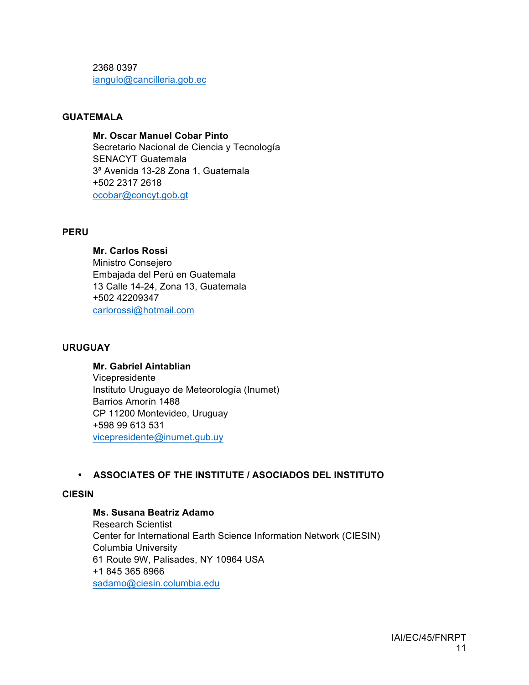2368 0397 iangulo@cancilleria.gob.ec

### **GUATEMALA**

**Mr. Oscar Manuel Cobar Pinto** Secretario Nacional de Ciencia y Tecnología SENACYT Guatemala 3ª Avenida 13-28 Zona 1, Guatemala +502 2317 2618 ocobar@concyt.gob.gt

#### **PERU**

**Mr. Carlos Rossi** Ministro Consejero Embajada del Perú en Guatemala 13 Calle 14-24, Zona 13, Guatemala +502 42209347 carlorossi@hotmail.com

#### **URUGUAY**

**Mr. Gabriel Aintablian** Vicepresidente Instituto Uruguayo de Meteorología (Inumet) Barrios Amorín 1488 CP 11200 Montevideo, Uruguay +598 99 613 531 vicepresidente@inumet.gub.uy

## • **ASSOCIATES OF THE INSTITUTE / ASOCIADOS DEL INSTITUTO**

#### **CIESIN**

**Ms. Susana Beatriz Adamo**

Research Scientist Center for International Earth Science Information Network (CIESIN) Columbia University 61 Route 9W, Palisades, NY 10964 USA +1 845 365 8966 sadamo@ciesin.columbia.edu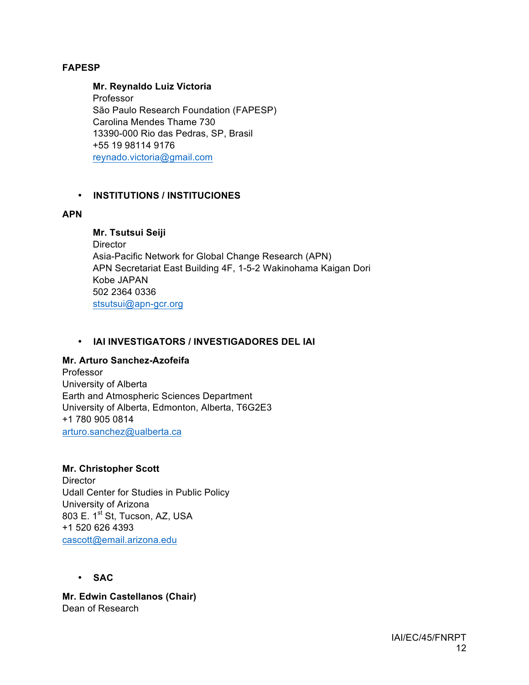#### **FAPESP**

**Mr. Reynaldo Luiz Victoria** Professor

São Paulo Research Foundation (FAPESP) Carolina Mendes Thame 730 13390-000 Rio das Pedras, SP, Brasil +55 19 98114 9176 reynado.victoria@gmail.com

### • **INSTITUTIONS / INSTITUCIONES**

#### **APN**

**Mr. Tsutsui Seiji Director** Asia-Pacific Network for Global Change Research (APN) APN Secretariat East Building 4F, 1-5-2 Wakinohama Kaigan Dori Kobe JAPAN 502 2364 0336 stsutsui@apn-gcr.org

### • **IAI INVESTIGATORS / INVESTIGADORES DEL IAI**

#### **Mr. Arturo Sanchez-Azofeifa**

Professor University of Alberta Earth and Atmospheric Sciences Department University of Alberta, Edmonton, Alberta, T6G2E3 +1 780 905 0814 arturo.sanchez@ualberta.ca

#### **Mr. Christopher Scott**

**Director** Udall Center for Studies in Public Policy University of Arizona 803 E. 1<sup>st</sup> St, Tucson, AZ, USA +1 520 626 4393 cascott@email.arizona.edu

• **SAC**

**Mr. Edwin Castellanos (Chair)** Dean of Research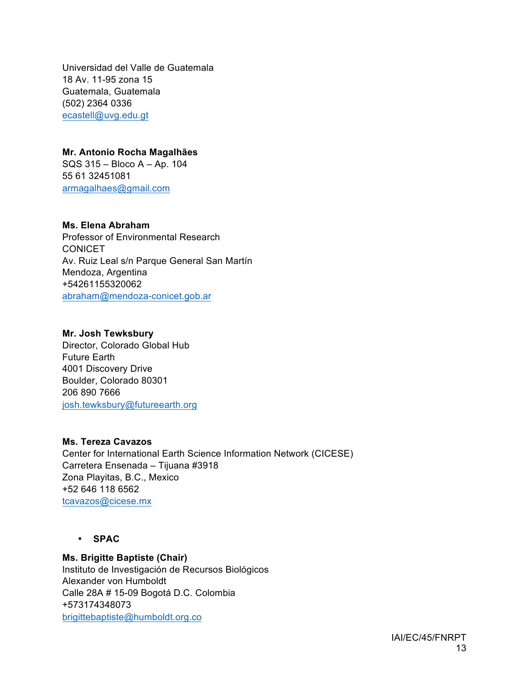Universidad del Valle de Guatemala 18 Av. 11-95 zona 15 Guatemala, Guatemala (502) 2364 0336 ecastell@uvg.edu.gt

# **Mr. Antonio Rocha Magalhães**

SQS 315 – Bloco A – Ap. 104 55 61 32451081 armagalhaes@gmail.com

# **Ms. Elena Abraham**

Professor of Environmental Research **CONICET** Av. Ruiz Leal s/n Parque General San Martín Mendoza, Argentina +54261155320062 abraham@mendoza-conicet.gob.ar

#### **Mr. Josh Tewksbury**

Director, Colorado Global Hub Future Earth 4001 Discovery Drive Boulder, Colorado 80301 206 890 7666 josh.tewksbury@futureearth.org

#### **Ms. Tereza Cavazos**

Center for International Earth Science Information Network (CICESE) Carretera Ensenada – Tijuana #3918 Zona Playitas, B.C., Mexico +52 646 118 6562 tcavazos@cicese.mx

• **SPAC**

## **Ms. Brigitte Baptiste (Chair)**

Instituto de Investigación de Recursos Biológicos Alexander von Humboldt Calle 28A # 15-09 Bogotá D.C. Colombia +573174348073 brigittebaptiste@humboldt.org.co